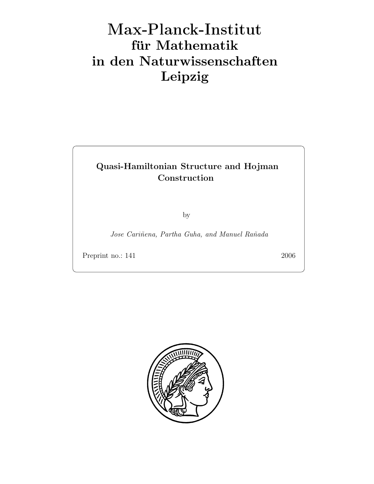# Max-Plan
k-Institut für Mathematik in den Naturwissenschaften Leipzig

## Quasi-Hamiltonian Structure and Hojman Construction

by

Jose Cariñena, Partha Guha, and Manuel Rañada

Preprint no.: 141 2006

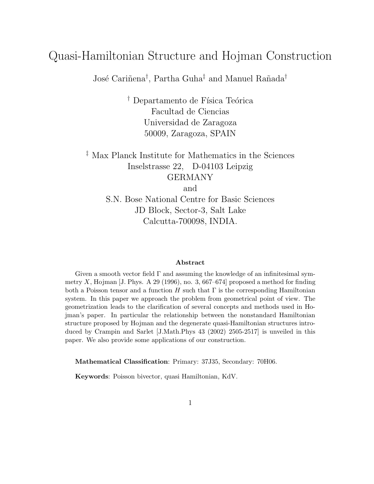# Quasi-Hamiltonian Structure and Hojman Construction

José Cariñena<sup>†</sup>, Partha Guha<sup>‡</sup> and Manuel Rañada<sup>†</sup>

<sup>†</sup> Departamento de Física Teórica Facultad de Ciencias Universidad de Zaragoza 50009, Zaragoza, SPAIN

‡ Max Planck Institute for Mathematics in the Sciences Inselstrasse 22, D-04103 Leipzig GERMANY

and

S.N. Bose National Centre for Basic Sciences JD Block, Sector-3, Salt Lake Calcutta-700098, INDIA.

#### Abstract

Given a smooth vector field  $\Gamma$  and assuming the knowledge of an infinitesimal symmetry X, Hojman [J. Phys. A 29 (1996), no. 3, 667–674] proposed a method for finding both a Poisson tensor and a function H such that  $\Gamma$  is the corresponding Hamiltonian system. In this paper we approach the problem from geometrical point of view. The geometrization leads to the clarification of several concepts and methods used in Hojman's paper. In particular the relationship between the nonstandard Hamiltonian structure proposed by Hojman and the degenerate quasi-Hamiltonian structures introduced by Crampin and Sarlet [J.Math.Phys 43 (2002) 2505-2517] is unveiled in this paper. We also provide some applications of our construction.

Mathematical Classification: Primary: 37J35, Secondary: 70H06.

Keywords: Poisson bivector, quasi Hamiltonian, KdV.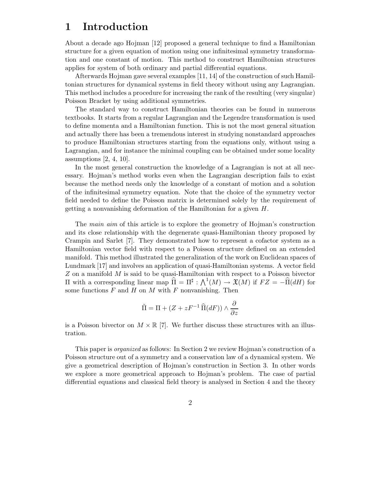#### 1 Introduction

About a decade ago Hojman [12] proposed a general technique to find a Hamiltonian structure for a given equation of motion using one infinitesimal symmetry transformation and one constant of motion. This method to construct Hamiltonian structures applies for system of both ordinary and partial differential equations.

Afterwards Hojman gave several examples [11, 14] of the construction of such Hamiltonian structures for dynamical systems in field theory without using any Lagrangian. This method includes a procedure for increasing the rank of the resulting (very singular) Poisson Bracket by using additional symmetries.

The standard way to construct Hamiltonian theories can be found in numerous textbooks. It starts from a regular Lagrangian and the Legendre transformation is used to define momenta and a Hamiltonian function. This is not the most general situation and actually there has been a tremendous interest in studying nonstandard approaches to produce Hamiltonian structures starting from the equations only, without using a Lagrangian, and for instance the minimal coupling can be obtained under some locality assumptions [2, 4, 10].

In the most general construction the knowledge of a Lagrangian is not at all necessary. Hojman's method works even when the Lagrangian description fails to exist because the method needs only the knowledge of a constant of motion and a solution of the infinitesimal symmetry equation. Note that the choice of the symmetry vector field needed to define the Poisson matrix is determined solely by the requirement of getting a nonvanishing deformation of the Hamiltonian for a given H.

The main aim of this article is to explore the geometry of Hojman's construction and its close relationship with the degenerate quasi-Hamiltonian theory proposed by Crampin and Sarlet [7]. They demonstrated how to represent a cofactor system as a Hamiltonian vector field with respect to a Poisson structure defined on an extended manifold. This method illustrated the generalization of the work on Euclidean spaces of Lundmark [17] and involves an application of quasi-Hamiltonian systems. A vector field  $Z$  on a manifold  $M$  is said to be quasi-Hamiltonian with respect to a Poisson bivector II with a corresponding linear map  $\hat{\Pi} = \Pi^{\sharp} : \bigwedge^1(M) \to \mathfrak{X}(M)$  if  $FZ = -\hat{\Pi}(dH)$  for some functions  $F$  and  $H$  on  $M$  with  $F$  nonvanishing. Then

$$
\tilde{\Pi} = \Pi + (Z + zF^{-1} \widehat{\Pi}(dF)) \wedge \frac{\partial}{\partial z}
$$

is a Poisson bivector on  $M \times \mathbb{R}$  [7]. We further discuss these structures with an illustration.

This paper is organized as follows: In Section 2 we review Hojman's construction of a Poisson structure out of a symmetry and a conservation law of a dynamical system. We give a geometrical description of Hojman's construction in Section 3. In other words we explore a more geometrical approach to Hojman's problem. The case of partial differential equations and classical field theory is analysed in Section 4 and the theory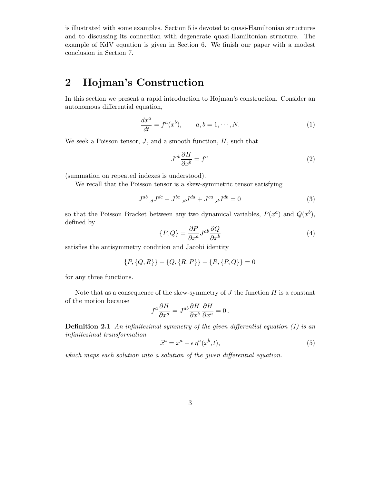is illustrated with some examples. Section 5 is devoted to quasi-Hamiltonian structures and to discussing its connection with degenerate quasi-Hamiltonian structure. The example of KdV equation is given in Section 6. We finish our paper with a modest conclusion in Section 7.

### 2 Hojman's Construction

In this section we present a rapid introduction to Hojman's construction. Consider an autonomous differential equation,

$$
\frac{dx^a}{dt} = f^a(x^b), \qquad a, b = 1, \cdots, N. \tag{1}
$$

We seek a Poisson tensor,  $J$ , and a smooth function,  $H$ , such that

$$
J^{ab}\frac{\partial H}{\partial x^b} = f^a \tag{2}
$$

(summation on repeated indexes is understood).

We recall that the Poisson tensor is a skew-symmetric tensor satisfying

$$
J^{ab}{}_{,d}J^{dc} + J^{bc}{}_{,d}J^{da} + J^{ca}{}_{,d}J^{db} = 0
$$
 (3)

so that the Poisson Bracket between any two dynamical variables,  $P(x^a)$  and  $Q(x^b)$ , defined by

$$
\{P,Q\} = \frac{\partial P}{\partial x^a} J^{ab} \frac{\partial Q}{\partial x^b} \tag{4}
$$

satisfies the antisymmetry condition and Jacobi identity

$$
{P, {Q, R}} + {Q, {R, P}} + {R, {P, Q}} = 0
$$

for any three functions.

Note that as a consequence of the skew-symmetry of  $J$  the function  $H$  is a constant of the motion because

$$
f^a \frac{\partial H}{\partial x^a} = J^{ab} \frac{\partial H}{\partial x^b} \frac{\partial H}{\partial x^a} = 0.
$$

**Definition 2.1** An infinitesimal symmetry of the given differential equation  $(1)$  is an infinitesimal transformation

$$
\tilde{x}^a = x^a + \epsilon \eta^a(x^b, t),\tag{5}
$$

which maps each solution into a solution of the given differential equation.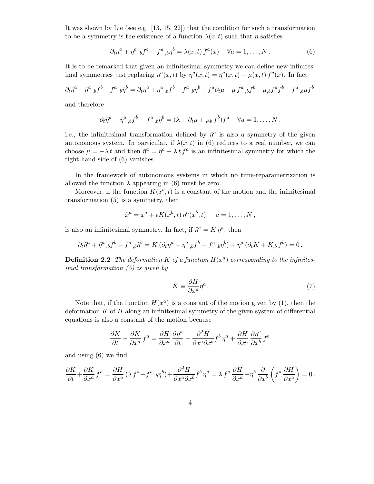It was shown by Lie (see e.g.  $[13, 15, 22]$ ) that the condition for such a transformation to be a symmetry is the existence of a function  $\lambda(x,t)$  such that  $\eta$  satisfies

$$
\partial_t \eta^a + \eta^a_{\ b} f^b - f^a_{\ b} \eta^b = \lambda(x, t) f^a(x) \quad \forall a = 1, \dots, N. \tag{6}
$$

It is to be remarked that given an infinitesimal symmetry we can define new infinitesimal symmetries just replacing  $\eta^a(x,t)$  by  $\bar{\eta}^a(x,t) = \eta^a(x,t) + \mu(x,t) f^a(x)$ . In fact

$$
\partial_t \bar{\eta}^a + \bar{\eta}^a{}_{,b} f^b - f^a{}_{,b} \bar{\eta}^b = \partial_t \eta^a + \eta^a{}_{,b} f^b - f^a{}_{,b} \eta^b + f^a \partial_t \mu + \mu f^a{}_{,b} f^b + \mu_{,b} f^a f^b - f^a{}_{,b} \mu f^b
$$

and therefore

$$
\partial_t \bar{\eta}^a + \bar{\eta}^a{}_{,b} f^b - f^a{}_{,b} \bar{\eta}^b = (\lambda + \partial_t \mu + \mu_b f^b) f^a \quad \forall a = 1, \dots, N,
$$

i.e., the infinitesimal transformation defined by  $\bar{\eta}^a$  is also a symmetry of the given autonomous system. In particular, if  $\lambda(x,t)$  in (6) reduces to a real number, we can choose  $\mu = -\lambda t$  and then  $\bar{\eta}^a = \eta^a - \lambda t f^a$  is an infinitesimal symmetry for which the right hand side of (6) vanishes.

In the framework of autonomous systems in which no time-reparametrization is allowed the function  $\lambda$  appearing in (6) must be zero.

Moreover, if the function  $K(x^b, t)$  is a constant of the motion and the infinitesimal transformation (5) is a symmetry, then

$$
\tilde{x}^a = x^a + \epsilon K(x^b, t) \eta^a(x^b, t), \quad a = 1, \dots, N,
$$

is also an infinitesimal symmetry. In fact, if  $\tilde{\eta}^a = K \eta^a$ , then

$$
\partial_t \tilde{\eta}^a + \tilde{\eta}^a{}_{,b} f^b - f^a{}_{,b} \tilde{\eta}^b = K \left( \partial_t \eta^a + \eta^a{}_{,b} f^b - f^a{}_{,b} \eta^b \right) + \eta^a \left( \partial_t K + K_{,b} f^b \right) = 0 \,.
$$

**Definition 2.2** The deformation K of a function  $H(x^a)$  corresponding to the infinitesimal transformation (5) is given by

$$
K \equiv \frac{\partial H}{\partial x^a} \eta^a. \tag{7}
$$

Note that, if the function  $H(x^a)$  is a constant of the motion given by (1), then the deformation  $K$  of  $H$  along an infinitesimal symmetry of the given system of differential equations is also a constant of the motion because

$$
\frac{\partial K}{\partial t} + \frac{\partial K}{\partial x^a} f^a = \frac{\partial H}{\partial x^a} \frac{\partial \eta^a}{\partial t} + \frac{\partial^2 H}{\partial x^a \partial x^b} f^b \, \eta^a + \frac{\partial H}{\partial x^a} \frac{\partial \eta^a}{\partial x^b} f^b
$$

and using (6) we find

$$
\frac{\partial K}{\partial t} + \frac{\partial K}{\partial x^a} f^a = \frac{\partial H}{\partial x^a} (\lambda f^a + f^a{}_{,b} \eta^b) + \frac{\partial^2 H}{\partial x^a \partial x^b} f^b \eta^a = \lambda f^a \frac{\partial H}{\partial x^a} + \eta^b \frac{\partial}{\partial x^b} \left( f^a \frac{\partial H}{\partial x^a} \right) = 0.
$$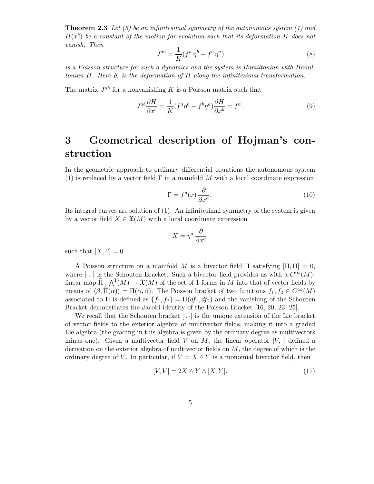**Theorem 2.3** Let (5) be an infinitesimal symmetry of the autonomous system (1) and  $H(x^b)$  be a constant of the motion for evolution such that its deformation K does not vanish. Then

$$
J^{ab} = \frac{1}{K} (f^a \eta^b - f^b \eta^a) \tag{8}
$$

is a Poisson structure for such a dynamics and the system is Hamiltonian with Hamiltonian  $H$ . Here  $K$  is the deformation of  $H$  along the infinitesimal transformation.

The matrix  $J^{ab}$  for a nonvanishing K is a Poisson matrix such that

$$
J^{ab}\frac{\partial H}{\partial x^b} = \frac{1}{K}(f^a \eta^b - f^b \eta^a) \frac{\partial H}{\partial x^b} = f^a.
$$
 (9)

# 3 Geometrical description of Hojman's construction

In the geometric approach to ordinary differential equations the autonomous system (1) is replaced by a vector field  $\Gamma$  in a manifold M with a local coordinate expression

$$
\Gamma = f^a(x) \frac{\partial}{\partial x^a}.
$$
\n(10)

Its integral curves are solution of (1). An infinitesimal symmetry of the system is given by a vector field  $X \in \mathfrak{X}(M)$  with a local coordinate expression

$$
X = \eta^a \, \frac{\partial}{\partial x^a}
$$

such that  $[X, \Gamma] = 0$ .

A Poisson structure on a manifold M is a bivector field  $\Pi$  satisfying  $[\Pi, \Pi] = 0$ , where [ $\cdot$ , ·] is the Schouten Bracket. Such a bivector field provides us with a  $C^{\infty}(M)$ linear map  $\widehat{\Pi}$ :  $\bigwedge^1(M) \to \mathfrak{X}(M)$  of the set of 1-forms in M into that of vector fields by means of  $\langle \beta, \hat{\Pi}(\alpha) \rangle = \Pi(\alpha, \beta)$ . The Poisson bracket of two functions  $f_1, f_2 \in C^{\infty}(M)$ associated to Π is defined as  ${f_1, f_2} = \Pi(df_1, df_2)$  and the vanishing of the Schouten Bracket demonstrates the Jacobi identity of the Poisson Bracket [16, 20, 23, 25].

We recall that the Schouten bracket  $[\cdot, \cdot]$  is the unique extension of the Lie bracket of vector fields to the exterior algebra of multivector fields, making it into a graded Lie algebra (the grading in this algebra is given by the ordinary degree as multivectors minus one). Given a multivector field V on M, the linear operator  $[V, \cdot]$  defined a derivation on the exterior algebra of multivector fields on  $M$ , the degree of which is the ordinary degree of V. In particular, if  $V = X \wedge Y$  is a monomial bivector field, then

$$
[V, V] = 2X \wedge Y \wedge [X, Y]. \tag{11}
$$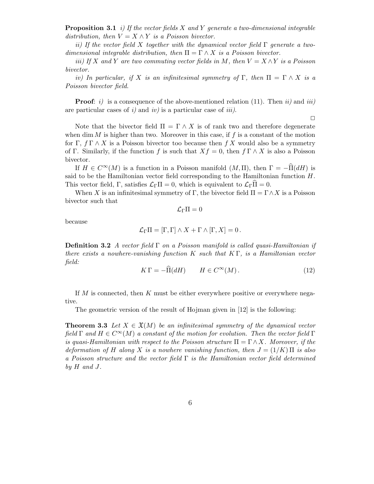**Proposition 3.1** i) If the vector fields X and Y generate a two-dimensional integrable distribution, then  $V = X \wedge Y$  is a Poisson bivector.

ii) If the vector field X together with the dynamical vector field  $\Gamma$  generate a twodimensional integrable distribution, then  $\Pi = \Gamma \wedge X$  is a Poisson bivector.

iii) If X and Y are two commuting vector fields in M, then  $V = X \wedge Y$  is a Poisson bivector.

iv) In particular, if X is an infinitesimal symmetry of  $\Gamma$ , then  $\Pi = \Gamma \wedge X$  is a Poisson bivector field.

**Proof:** i) is a consequence of the above-mentioned relation (11). Then ii) and iii) are particular cases of  $i$ ) and  $iv$ ) is a particular case of  $iii$ ).

Note that the bivector field  $\Pi = \Gamma \wedge X$  is of rank two and therefore degenerate when dim  $M$  is higher than two. Moreover in this case, if  $f$  is a constant of the motion for Γ,  $f \Gamma \wedge X$  is a Poisson bivector too because then f X would also be a symmetry of Γ. Similarly, if the function f is such that  $Xf = 0$ , then  $f \Gamma \wedge X$  is also a Poisson bivector.

If  $H \in C^{\infty}(M)$  is a function in a Poisson manifold  $(M,\Pi)$ , then  $\Gamma = -\widehat{\Pi}(dH)$  is said to be the Hamiltonian vector field corresponding to the Hamiltonian function  $H$ . This vector field, Γ, satisfies  $\mathcal{L}_{\Gamma}\Pi = 0$ , which is equivalent to  $\mathcal{L}_{\Gamma}\Pi = 0$ .

When X is an infinitesimal symmetry of Γ, the bivector field  $\Pi = \Gamma \wedge X$  is a Poisson bivector such that

 $\mathcal{L}_{\Gamma}\Pi=0$ 

because

$$
\mathcal{L}_{\Gamma}\Pi = [\Gamma, \Gamma] \wedge X + \Gamma \wedge [\Gamma, X] = 0.
$$

**Definition 3.2** A vector field  $\Gamma$  on a Poisson manifold is called quasi-Hamiltonian if there exists a nowhere-vanishing function K such that  $K \Gamma$ , is a Hamiltonian vector field:

$$
K\,\Gamma = -\widehat{\Pi}(dH) \qquad H \in C^{\infty}(M). \tag{12}
$$

 $\Box$ 

If M is connected, then K must be either everywhere positive or everywhere negative.

The geometric version of the result of Hojman given in [12] is the following:

**Theorem 3.3** Let  $X \in \mathfrak{X}(M)$  be an infinitesimal symmetry of the dynamical vector field  $\Gamma$  and  $H \in C^{\infty}(M)$  a constant of the motion for evolution. Then the vector field  $\Gamma$ is quasi-Hamiltonian with respect to the Poisson structure  $\Pi = \Gamma \wedge X$ . Moreover, if the deformation of H along X is a nowhere vanishing function, then  $J = (1/K)$  II is also a Poisson structure and the vector field  $\Gamma$  is the Hamiltonian vector field determined by  $H$  and  $J$ .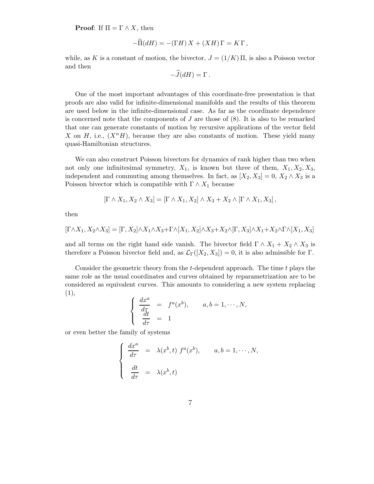**Proof:** If  $\Pi = \Gamma \wedge X$ , then

$$
-\widehat{\Pi}(dH) = -(\Gamma H) X + (XH)\Gamma = K\Gamma,
$$

while, as K is a constant of motion, the bivector,  $J = (1/K)$   $\Pi$ , is also a Poisson vector and then

$$
-\tilde{J}(dH) = \Gamma.
$$

One of the most important advantages of this coordinate-free presentation is that proofs are also valid for infinite-dimensional manifolds and the results of this theorem are used below in the infinite-dimensional case. As far as the coordinate dependence is concerned note that the components of  $J$  are those of  $(8)$ . It is also to be remarked that one can generate constants of motion by recursive applications of the vector field X on H, i.e.,  $(X^nH)$ , because they are also constants of motion. These yield many quasi-Hamiltonian structures.

We can also construct Poisson bivectors for dynamics of rank higher than two when not only one infinitesimal symmetry,  $X_1$ , is known but three of them,  $X_1, X_2, X_3$ , independent and commuting among themselves. In fact, as  $[X_2, X_3] = 0, X_2 \wedge X_3$  is a Poisson bivector which is compatible with  $\Gamma \wedge X_1$  because

$$
[\Gamma \wedge X_1, X_2 \wedge X_3] = [\Gamma \wedge X_1, X_2] \wedge X_3 + X_2 \wedge [\Gamma \wedge X_1, X_3],
$$

then

$$
[\Gamma \wedge X_1, X_2 \wedge X_3] = [\Gamma, X_2] \wedge X_1 \wedge X_3 + \Gamma \wedge [X_1, X_2] \wedge X_3 + X_2 \wedge [\Gamma, X_3] \wedge X_1 + X_2 \wedge \Gamma \wedge [X_1, X_3]
$$

and all terms on the right hand side vanish. The bivector field  $\Gamma \wedge X_1 + X_2 \wedge X_3$  is therefore a Poisson bivector field and, as  $\mathcal{L}_{\Gamma}([X_2, X_3]) = 0$ , it is also admissible for Γ.

Consider the geometric theory from the  $t$ -dependent approach. The time  $t$  plays the same role as the usual coordinates and curves obtained by reparametrization are to be considered as equivalent curves. This amounts to considering a new system replacing (1),

$$
\begin{cases}\n\frac{dx^a}{d\tau} = f^a(x^b), & a, b = 1, \cdots, N, \\
\frac{dt}{d\tau} = 1\n\end{cases}
$$

or even better the family of systems

$$
\begin{cases}\n\frac{dx^a}{d\tau} = \lambda(x^b, t) f^a(x^b), & a, b = 1, \dots, N, \\
\frac{dt}{d\tau} = \lambda(x^b, t)\n\end{cases}
$$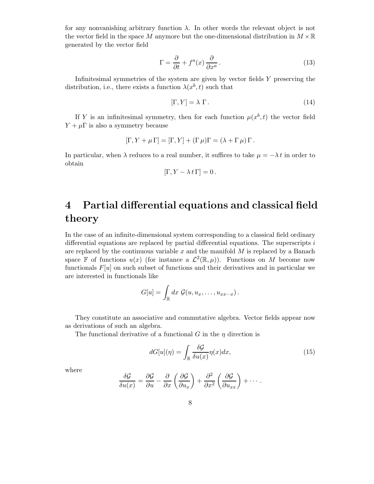for any nonvanishing arbitrary function  $\lambda$ . In other words the relevant object is not the vector field in the space M anymore but the one-dimensional distribution in  $M \times \mathbb{R}$ generated by the vector field

$$
\Gamma = \frac{\partial}{\partial t} + f^a(x) \frac{\partial}{\partial x^a}.
$$
\n(13)

Infinitesimal symmetries of the system are given by vector fields Y preserving the distribution, i.e., there exists a function  $\lambda(x^b, t)$  such that

$$
[\Gamma, Y] = \lambda \Gamma. \tag{14}
$$

If Y is an infinitesimal symmetry, then for each function  $\mu(x^b, t)$  the vector field  $Y + \mu \Gamma$  is also a symmetry because

$$
[\Gamma, Y + \mu \Gamma] = [\Gamma, Y] + (\Gamma \mu) \Gamma = (\lambda + \Gamma \mu) \Gamma.
$$

In particular, when  $\lambda$  reduces to a real number, it suffices to take  $\mu = -\lambda t$  in order to obtain

$$
[\Gamma, Y - \lambda t \Gamma] = 0.
$$

# 4 Partial differential equations and classical field theory

In the case of an infinite-dimensional system corresponding to a classical field ordinary differential equations are replaced by partial differential equations. The superscripts  $i$ are replaced by the continuous variable  $x$  and the manifold  $M$  is replaced by a Banach space  $\mathbb F$  of functions  $u(x)$  (for instance a  $\mathcal L^2(\mathbb R,\mu)$ ). Functions on M become now functionals  $F[u]$  on such subset of functions and their derivatives and in particular we are interested in functionals like

$$
G[u] = \int_{\mathbb{R}} dx \; \mathcal{G}(u, u_x, \dots, u_{xx\cdots x}).
$$

They constitute an associative and commutative algebra. Vector fields appear now as derivations of such an algebra.

The functional derivative of a functional G in the  $\eta$  direction is

$$
dG[u](\eta) = \int_{\mathbb{R}} \frac{\delta \mathcal{G}}{\delta u(x)} \eta(x) dx, \tag{15}
$$

where

$$
\frac{\delta \mathcal{G}}{\delta u(x)} = \frac{\partial \mathcal{G}}{\partial u} - \frac{\partial}{\partial x} \left( \frac{\partial \mathcal{G}}{\partial u_x} \right) + \frac{\partial^2}{\partial x^2} \left( \frac{\partial \mathcal{G}}{\partial u_{xx}} \right) + \cdots.
$$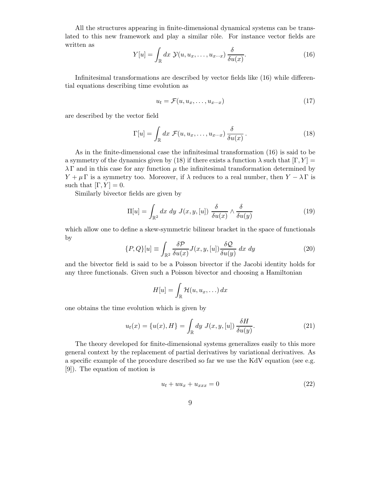All the structures appearing in finite-dimensional dynamical systems can be translated to this new framework and play a similar rôle. For instance vector fields are written as

$$
Y[u] = \int_{\mathbb{R}} dx \ \mathcal{Y}(u, u_x, \dots, u_{x \cdots x}) \frac{\delta}{\delta u(x)}.
$$
 (16)

Infinitesimal transformations are described by vector fields like (16) while differential equations describing time evolution as

$$
u_t = \mathcal{F}(u, u_x, \dots, u_{x \cdots x}) \tag{17}
$$

are described by the vector field

$$
\Gamma[u] = \int_{\mathbb{R}} dx \ \mathcal{F}(u, u_x, \dots, u_{x \cdots x}) \frac{\delta}{\delta u(x)}.
$$
 (18)

As in the finite-dimensional case the infinitesimal transformation (16) is said to be a symmetry of the dynamics given by (18) if there exists a function  $\lambda$  such that  $[\Gamma, Y] =$  $\lambda \Gamma$  and in this case for any function  $\mu$  the infinitesimal transformation determined by  $Y + \mu \Gamma$  is a symmetry too. Moreover, if  $\lambda$  reduces to a real number, then  $Y - \lambda \Gamma$  is such that  $[\Gamma, Y] = 0$ .

Similarly bivector fields are given by

$$
\Pi[u] = \int_{\mathbb{R}^2} dx \ dy \ J(x, y, [u]) \ \frac{\delta}{\delta u(x)} \wedge \frac{\delta}{\delta u(y)} \tag{19}
$$

which allow one to define a skew-symmetric bilinear bracket in the space of functionals by

$$
\{P,Q\}[u] \equiv \int_{\mathbb{R}^2} \frac{\delta \mathcal{P}}{\delta u(x)} J(x,y,[u]) \frac{\delta \mathcal{Q}}{\delta u(y)} dx dy \tag{20}
$$

and the bivector field is said to be a Poisson bivector if the Jacobi identity holds for any three functionals. Given such a Poisson bivector and choosing a Hamiltonian

$$
H[u] = \int_{\mathbb{R}} \mathcal{H}(u, u_x, \ldots) \, dx
$$

one obtains the time evolution which is given by

$$
u_t(x) = \{u(x), H\} = \int_{\mathbb{R}} dy \ J(x, y, [u]) \frac{\delta H}{\delta u(y)}.
$$
 (21)

The theory developed for finite-dimensional systems generalizes easily to this more general context by the replacement of partial derivatives by variational derivatives. As a specific example of the procedure described so far we use the KdV equation (see e.g. [9]). The equation of motion is

$$
u_t + uu_x + u_{xxx} = 0 \tag{22}
$$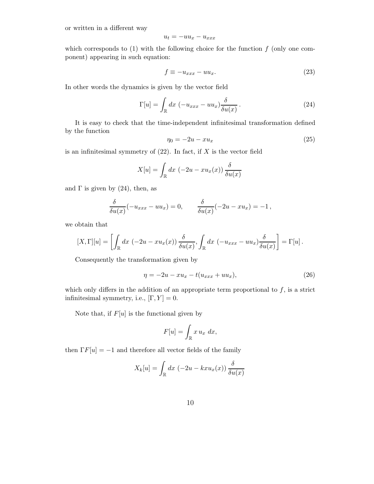or written in a different way

$$
u_t = -uu_x - u_{xxx}
$$

which corresponds to  $(1)$  with the following choice for the function  $f$  (only one component) appearing in such equation:

$$
f \equiv -u_{xxx} - uu_x. \tag{23}
$$

In other words the dynamics is given by the vector field

$$
\Gamma[u] = \int_{\mathbb{R}} dx \, \left(-u_{xxx} - uu_x\right) \frac{\delta}{\delta u(x)} \,. \tag{24}
$$

It is easy to check that the time-independent infinitesimal transformation defined by the function

$$
\eta_0 = -2u - xu_x \tag{25}
$$

is an infinitesimal symmetry of  $(22)$ . In fact, if X is the vector field

$$
X[u] = \int_{\mathbb{R}} dx \, (-2u - xu_x(x)) \, \frac{\delta}{\delta u(x)}
$$

and  $\Gamma$  is given by (24), then, as

$$
\frac{\delta}{\delta u(x)}(-u_{xxx}-uu_x)=0, \qquad \frac{\delta}{\delta u(x)}(-2u-xu_x)=-1,
$$

we obtain that

$$
[X,\Gamma][u] = \left[ \int_{\mathbb{R}} dx \, \left( -2u - xu_x(x) \right) \frac{\delta}{\delta u(x)}, \int_{\mathbb{R}} dx \, \left( -u_{xxx} - uu_x \right) \frac{\delta}{\delta u(x)} \right] = \Gamma[u].
$$

Consequently the transformation given by

$$
\eta = -2u - xu_x - t(u_{xxx} + uu_x),\tag{26}
$$

which only differs in the addition of an appropriate term proportional to  $f$ , is a strict infinitesimal symmetry, i.e.,  $[\Gamma, Y] = 0$ .

Note that, if  $F[u]$  is the functional given by

$$
F[u] = \int_{\mathbb{R}} x u_x dx,
$$

then  $\Gamma F[u] = -1$  and therefore all vector fields of the family

$$
X_k[u] = \int_{\mathbb{R}} dx \, (-2u - kxu_x(x)) \, \frac{\delta}{\delta u(x)}
$$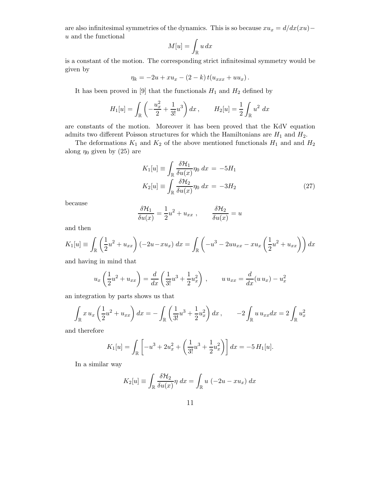are also infinitesimal symmetries of the dynamics. This is so because  $xu_x = d/dx(xu)$  –  $u$  and the functional

$$
M[u]=\int_{\mathbb{R}}u\,dx
$$

is a constant of the motion. The corresponding strict infinitesimal symmetry would be given by

$$
\eta_k = -2u + xu_x - (2 - k) t(u_{xxx} + uu_x).
$$

It has been proved in [9] that the functionals  $H_1$  and  $H_2$  defined by

$$
H_1[u] = \int_{\mathbb{R}} \left( -\frac{u_x^2}{2} + \frac{1}{3!}u^3 \right) dx , \qquad H_2[u] = \frac{1}{2} \int_{\mathbb{R}} u^2 dx
$$

are constants of the motion. Moreover it has been proved that the KdV equation admits two different Poisson structures for which the Hamiltonians are  $H_1$  and  $H_2$ .

The deformations  $K_1$  and  $K_2$  of the above mentioned functionals  $H_1$  and and  $H_2$ along  $\eta_0$  given by (25) are

$$
K_1[u] \equiv \int_{\mathbb{R}} \frac{\delta \mathcal{H}_1}{\delta u(x)} \eta_0 dx = -5H_1
$$
  
\n
$$
K_2[u] \equiv \int_{\mathbb{R}} \frac{\delta \mathcal{H}_2}{\delta u(x)} \eta_0 dx = -3H_2
$$
\n(27)

because

$$
\frac{\delta \mathcal{H}_1}{\delta u(x)} = \frac{1}{2}u^2 + u_{xx} , \qquad \frac{\delta \mathcal{H}_2}{\delta u(x)} = u
$$

and then

$$
K_1[u] \equiv \int_{\mathbb{R}} \left( \frac{1}{2} u^2 + u_{xx} \right) (-2u - xu_x) \, dx = \int_{\mathbb{R}} \left( -u^3 - 2uu_{xx} - xu_x \left( \frac{1}{2} u^2 + u_{xx} \right) \right) dx
$$

and having in mind that

$$
u_x\left(\frac{1}{2}u^2 + u_{xx}\right) = \frac{d}{dx}\left(\frac{1}{3!}u^3 + \frac{1}{2}u_x^2\right), \qquad u\,u_{xx} = \frac{d}{dx}(u\,u_x) - u_x^2
$$

an integration by parts shows us that

$$
\int_{\mathbb{R}} x u_x \left( \frac{1}{2} u^2 + u_{xx} \right) dx = - \int_{\mathbb{R}} \left( \frac{1}{3!} u^3 + \frac{1}{2} u_x^2 \right) dx, \qquad -2 \int_{\mathbb{R}} u u_{xx} dx = 2 \int_{\mathbb{R}} u_x^2
$$

and therefore

$$
K_1[u] = \int_{\mathbb{R}} \left[ -u^3 + 2u_x^2 + \left( \frac{1}{3!} u^3 + \frac{1}{2} u_x^2 \right) \right] dx = -5 H_1[u].
$$

In a similar way

$$
K_2[u] \equiv \int_{\mathbb{R}} \frac{\delta \mathcal{H}_2}{\delta u(x)} \eta \, dx = \int_{\mathbb{R}} u \, (-2u - xu_x) \, dx
$$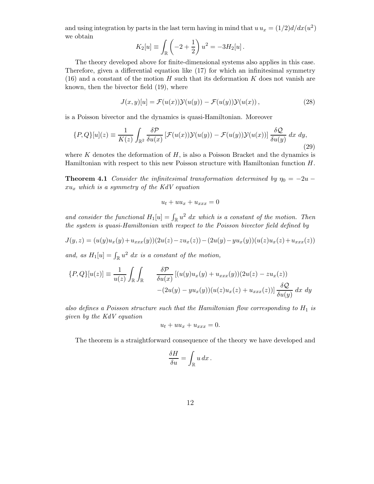and using integration by parts in the last term having in mind that  $u u_x = (1/2)d/dx(u^2)$ we obtain

$$
K_2[u] \equiv \int_{\mathbb{R}} \left( -2 + \frac{1}{2} \right) u^2 = -3H_2[u].
$$

The theory developed above for finite-dimensional systems also applies in this case. Therefore, given a differential equation like (17) for which an infinitesimal symmetry  $(16)$  and a constant of the motion H such that its deformation K does not vanish are known, then the bivector field (19), where

$$
J(x,y)[u] = \mathcal{F}(u(x))\mathcal{Y}(u(y)) - \mathcal{F}(u(y))\mathcal{Y}(u(x)),
$$
\n(28)

is a Poisson bivector and the dynamics is quasi-Hamiltonian. Moreover

$$
\{P,Q\}[u](z) \equiv \frac{1}{K(z)} \int_{\mathbb{R}^2} \frac{\delta \mathcal{P}}{\delta u(x)} \left[ \mathcal{F}(u(x)) \mathcal{Y}(u(y)) - \mathcal{F}(u(y)) \mathcal{Y}(u(x)) \right] \frac{\delta \mathcal{Q}}{\delta u(y)} dx dy,
$$
\n(29)

where  $K$  denotes the deformation of  $H$ , is also a Poisson Bracket and the dynamics is Hamiltonian with respect to this new Poisson structure with Hamiltonian function H.

**Theorem 4.1** Consider the infinitesimal transformation determined by  $\eta_0 = -2u$  $xu_x$  which is a symmetry of the KdV equation

$$
u_t + uu_x + u_{xxx} = 0
$$

and consider the functional  $H_1[u] = \int_{\mathbb{R}} u^2 dx$  which is a constant of the motion. Then the system is quasi-Hamiltonian with respect to the Poisson bivector field defined by

$$
J(y, z) = (u(y)u_x(y) + u_{xxx}(y))(2u(z) - zu_x(z)) - (2u(y) - yu_x(y))(u(z)u_x(z) + u_{xxx}(z))
$$

and, as  $H_1[u] = \int_{\mathbb{R}} u^2 dx$  is a constant of the motion,

$$
\{P,Q\}[u(z)] \equiv \frac{1}{u(z)} \int_{\mathbb{R}} \int_{\mathbb{R}} \frac{\delta P}{\delta u(x)} [(u(y)u_x(y) + u_{xxx}(y))(2u(z) - zu_x(z))
$$

$$
-(2u(y) - yu_x(y))(u(z)u_x(z) + u_{xxx}(z))] \frac{\delta Q}{\delta u(y)} dx dy
$$

also defines a Poisson structure such that the Hamiltonian flow corresponding to  $H_1$  is given by the KdV equation

$$
u_t + uu_x + u_{xxx} = 0.
$$

The theorem is a straightforward consequence of the theory we have developed and

$$
\frac{\delta H}{\delta u} = \int_{\mathbb{R}} u \, dx \, .
$$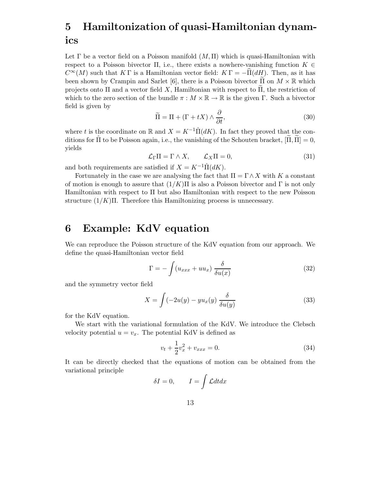# 5 Hamiltonization of quasi-Hamiltonian dynamics

Let  $\Gamma$  be a vector field on a Poisson manifold  $(M,\Pi)$  which is quasi-Hamiltonian with respect to a Poisson bivector  $\Pi$ , i.e., there exists a nowhere-vanishing function  $K \in$  $C^{\infty}(M)$  such that K Γ is a Hamiltonian vector field:  $K\Gamma = -\Pi(dH)$ . Then, as it has been shown by Crampin and Sarlet [6], there is a Poisson bivector  $\Pi$  on  $M \times \mathbb{R}$  which projects onto  $\Pi$  and a vector field X, Hamiltonian with respect to  $\Pi$ , the restriction of which to the zero section of the bundle  $\pi : M \times \mathbb{R} \to \mathbb{R}$  is the given  $\Gamma$ . Such a bivector field is given by

$$
\widetilde{\Pi} = \Pi + (\Gamma + tX) \wedge \frac{\partial}{\partial t},\tag{30}
$$

where t is the coordinate on R and  $X = K^{-1} \hat{\Pi}(dK)$ . In fact they proved that the conditions for  $\hat{\Pi}$  to be Poisson again, i.e., the vanishing of the Schouten bracket,  $[\Pi, \Pi] = 0$ , yields

$$
\mathcal{L}_{\Gamma}\Pi = \Gamma \wedge X, \qquad \mathcal{L}_X\Pi = 0,
$$
\n(31)

and both requirements are satisfied if  $X = K^{-1} \hat{\Pi}(dK)$ .

Fortunately in the case we are analysing the fact that  $\Pi = \Gamma \wedge X$  with K a constant of motion is enough to assure that  $(1/K)\Pi$  is also a Poisson bivector and  $\Gamma$  is not only Hamiltonian with respect to Π but also Hamiltonian with respect to the new Poisson structure  $(1/K)\Pi$ . Therefore this Hamiltonizing process is unnecessary.

#### 6 Example: KdV equation

We can reproduce the Poisson structure of the KdV equation from our approach. We define the quasi-Hamiltonian vector field

$$
\Gamma = -\int (u_{xxx} + uu_x) \frac{\delta}{\delta u(x)}
$$
\n(32)

and the symmetry vector field

$$
X = \int (-2u(y) - yu_x(y)) \frac{\delta}{\delta u(y)}
$$
\n(33)

for the KdV equation.

We start with the variational formulation of the KdV. We introduce the Clebsch velocity potential  $u = v_x$ . The potential KdV is defined as

$$
v_t + \frac{1}{2}v_x^2 + v_{xxx} = 0.
$$
 (34)

It can be directly checked that the equations of motion can be obtained from the variational principle

$$
\delta I = 0, \qquad I = \int \mathcal{L} dt dx
$$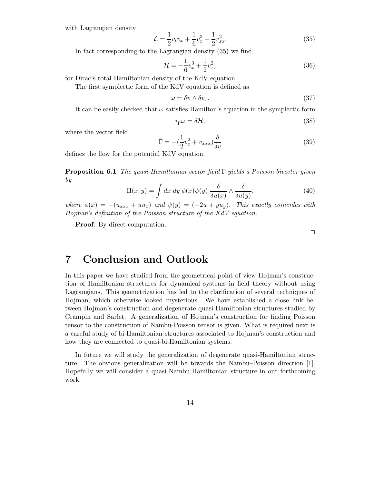with Lagrangian density

$$
\mathcal{L} = \frac{1}{2}v_t v_x + \frac{1}{6}v_x^3 - \frac{1}{2}v_{xx}^2.
$$
\n(35)

In fact corresponding to the Lagrangian density (35) we find

$$
\mathcal{H} = -\frac{1}{6}v_x^3 + \frac{1}{2}v_{xx}^2
$$
\n(36)

for Dirac's total Hamiltonian density of the KdV equation.

The first symplectic form of the KdV equation is defined as

$$
\omega = \delta v \wedge \delta v_x. \tag{37}
$$

It can be easily checked that  $\omega$  satisfies Hamilton's equation in the symplectic form

$$
i_{\tilde{\Gamma}}\omega = \delta \mathcal{H},\tag{38}
$$

where the vector field

$$
\tilde{\Gamma} = -\left(\frac{1}{2}v_x^2 + v_{xxx}\right)\frac{\delta}{\delta v} \tag{39}
$$

defines the flow for the potential KdV equation.

**Proposition 6.1** The quasi-Hamiltonian vector field  $\Gamma$  yields a Poisson bivector given by

$$
\Pi(x,y) = \int dx \, dy \, \phi(x)\psi(y) \, \frac{\delta}{\delta u(x)} \wedge \frac{\delta}{\delta u(y)},\tag{40}
$$

where  $\phi(x) = -(u_{xxx} + uu_x)$  and  $\psi(y) = (-2u + yu_y)$ . This exactly coincides with Hojman's definition of the Poisson structure of the KdV equation.

Proof: By direct computation.

 $\Box$ 

#### 7 Conclusion and Outlook

In this paper we have studied from the geometrical point of view Hojman's construction of Hamiltonian structures for dynamical systems in field theory without using Lagrangians. This geometrization has led to the clarification of several techniques of Hojman, which otherwise looked mysterious. We have established a close link between Hojman's construction and degenerate quasi-Hamiltonian structures studied by Crampin and Sarlet. A generalization of Hojman's construction for finding Poisson tensor to the construction of Nambu-Poisson tensor is given. What is required next is a careful study of bi-Hamiltonian structures associated to Hojman's construction and how they are connected to quasi-bi-Hamiltonian systems.

In future we will study the generalization of degenerate quasi-Hamiltonian structure. The obvious generalization will be towards the Nambu–Poisson direction [1]. Hopefully we will consider a quasi-Nambu-Hamiltonian structure in our forthcoming work.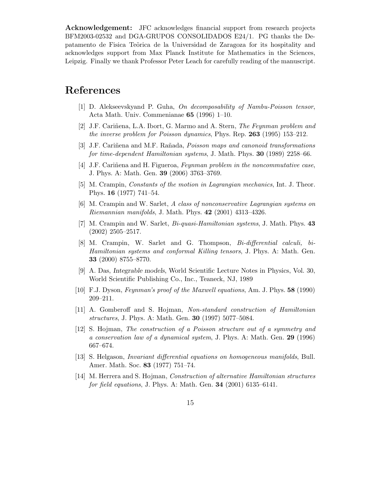Acknowledgement: JFC acknowledges financial support from research projects BFM2003-02532 and DGA-GRUPOS CONSOLIDADOS E24/1. PG thanks the Depatamento de Fisica Te˜orica de la Universidad de Zaragoza for its hospitality and acknowledges support from Max Planck Institute for Mathematics in the Sciences, Leipzig. Finally we thank Professor Peter Leach for carefully reading of the manuscript.

#### References

- [1] D. Alekseevskyand P. Guha, On decomposability of Nambu-Poisson tensor, Acta Math. Univ. Commenianae 65 (1996) 1–10.
- [2] J.F. Cariñena, L.A. Ibort, G. Marmo and A. Stern, *The Feynman problem and* the inverse problem for Poisson dynamics, Phys. Rep. 263 (1995) 153–212.
- [3] J.F. Cariñena and M.F. Rañada, *Poisson maps and canonoid transformations* for time-dependent Hamiltonian systems, J. Math. Phys. 30 (1989) 2258–66.
- [4] J.F. Cariñena and H. Figueroa, *Feynman problem in the noncommutative case*, J. Phys. A: Math. Gen. 39 (2006) 3763–3769.
- [5] M. Crampin, Constants of the motion in Lagrangian mechanics, Int. J. Theor. Phys. 16 (1977) 741–54.
- [6] M. Crampin and W. Sarlet, A class of nonconservative Lagrangian systems on *Riemannian manifolds*, J. Math. Phys.  $42$  (2001) 4313-4326.
- [7] M. Crampin and W. Sarlet, Bi-quasi-Hamiltonian systems, J. Math. Phys. 43 (2002) 2505–2517.
- [8] M. Crampin, W. Sarlet and G. Thompson, Bi-differential calculi, bi-Hamiltonian systems and conformal Killing tensors, J. Phys. A: Math. Gen. 33 (2000) 8755–8770.
- [9] A. Das, Integrable models, World Scientific Lecture Notes in Physics, Vol. 30, World Scientific Publishing Co., Inc., Teaneck, NJ, 1989
- [10] F.J. Dyson, Feynman's proof of the Maxwell equations, Am. J. Phys. 58 (1990) 209–211.
- [11] A. Gomberoff and S. Hojman, Non-standard construction of Hamiltonian structures, J. Phys. A: Math. Gen. 30 (1997) 5077–5084.
- [12] S. Hojman, The construction of a Poisson structure out of a symmetry and a conservation law of a dynamical system, J. Phys. A: Math. Gen. 29 (1996) 667–674.
- [13] S. Helgason, Invariant differential equations on homogeneous manifolds, Bull. Amer. Math. Soc. 83 (1977) 751–74.
- [14] M. Herrera and S. Hojman, Construction of alternative Hamiltonian structures for field equations, J. Phys. A: Math. Gen. 34 (2001) 6135–6141.